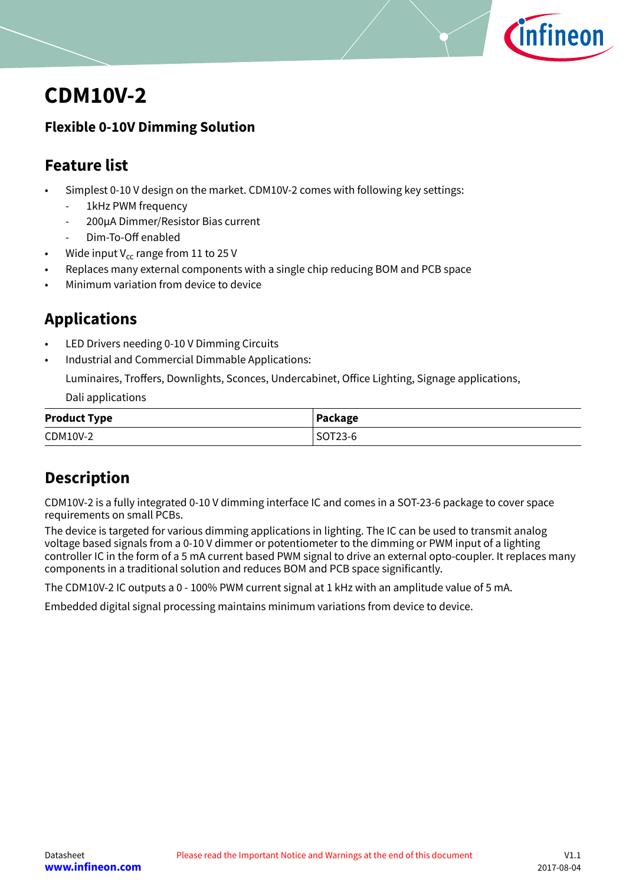

# <span id="page-0-0"></span>**CDM10V-2**

## **Flexible 0-10V Dimming Solution**

# **Feature list**

- Simplest 0-10 V design on the market. CDM10V-2 comes with following key settings:
	- 1kHz PWM frequency
	- 200μA Dimmer/Resistor Bias current
	- Dim-To-Off enabled
- Wide input  $V_{cc}$  range from 11 to 25 V
- Replaces many external components with a single chip reducing BOM and PCB space
- Minimum variation from device to device

# **Applications**

- LED Drivers needing 0-10 V Dimming Circuits
- Industrial and Commercial Dimmable Applications:

Luminaires, Troffers, Downlights, Sconces, Undercabinet, Office Lighting, Signage applications,

Dali applications

| <b>Product Type</b> | Package |
|---------------------|---------|
| CDM10V-2            | SOT23-6 |

# **Description**

CDM10V-2 is a fully integrated 0-10 V dimming interface IC and comes in a SOT-23-6 package to cover space requirements on small PCBs.

The device is targeted for various dimming applications in lighting. The IC can be used to transmit analog voltage based signals from a 0-10 V dimmer or potentiometer to the dimming or PWM input of a lighting controller IC in the form of a 5 mA current based PWM signal to drive an external opto-coupler. It replaces many components in a traditional solution and reduces BOM and PCB space significantly.

The CDM10V-2 IC outputs a 0 - 100% PWM current signal at 1 kHz with an amplitude value of 5 mA.

Embedded digital signal processing maintains minimum variations from device to device.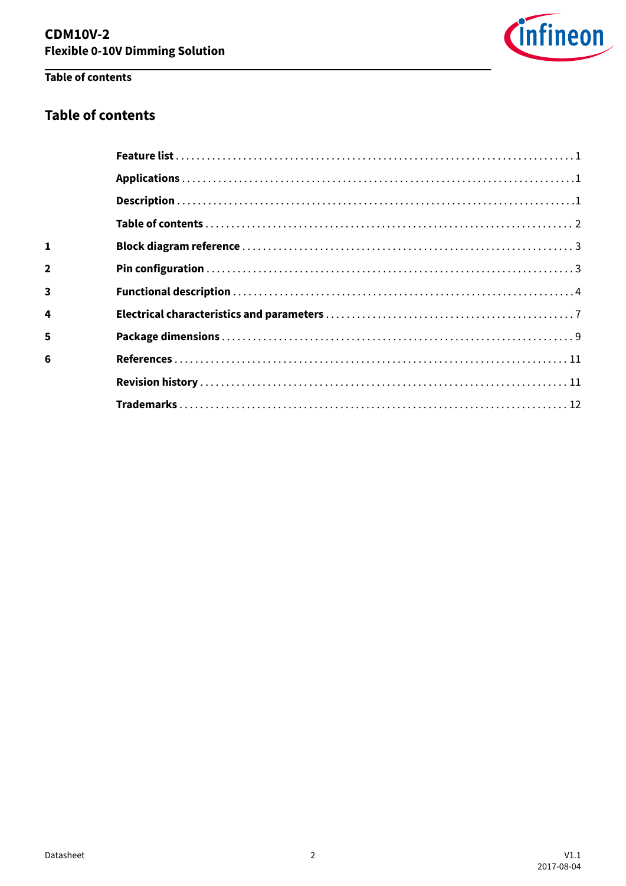

# Table of contents

## **Table of contents**

| 4 |  |
|---|--|
|   |  |
|   |  |
|   |  |
|   |  |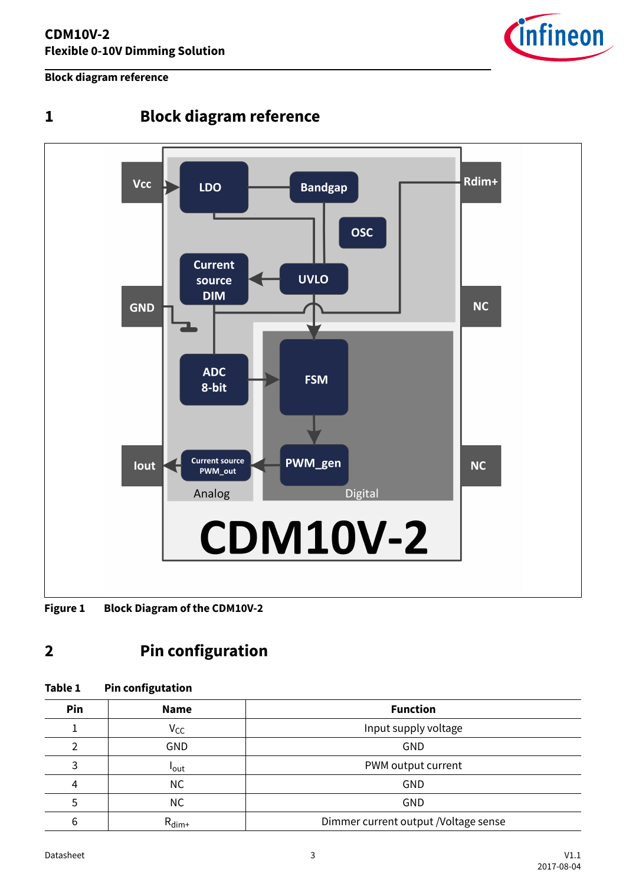### <span id="page-2-0"></span>**Block diagram reference**



# **1 Block diagram reference**

**Figure 1 Block Diagram of the CDM10V-2**

# **2 Pin configuration**

### **Table 1 Pin configutation**

| Pin | <b>Name</b>       | <b>Function</b>                      |
|-----|-------------------|--------------------------------------|
|     | $V_{CC}$          | Input supply voltage                 |
|     | <b>GND</b>        | GND                                  |
|     | <b>l</b> out      | PWM output current                   |
| 4   | NC.               | GND                                  |
|     | <b>NC</b>         | GND                                  |
| 6   | $R_{\text{dim}+}$ | Dimmer current output /Voltage sense |

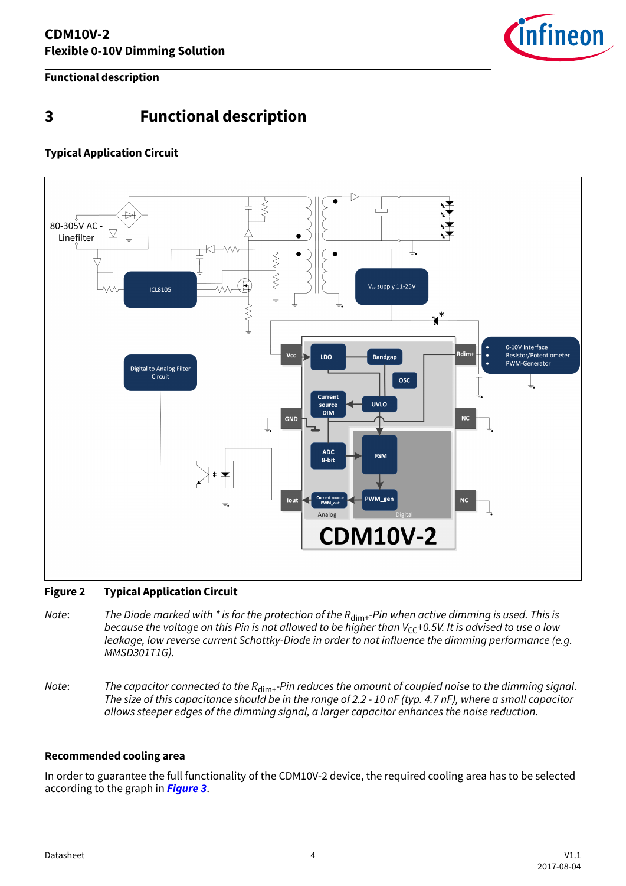

<span id="page-3-0"></span>**Functional description**

# **3 Functional description**

## **Typical Application Circuit**



### **Figure 2 Typical Application Circuit**

- Note: The Diode marked with \* is for the protection of the  $R_{\text{dim}+}$ -Pin when active dimming is used. This is because the voltage on this Pin is not allowed to be higher than  $V_{\text{CC}}+0.5V$ . It is advised to use a low leakage, low reverse current Schottky-Diode in order to not influence the dimming performance (e.g. MMSD301T1G).
- Note: The capacitor connected to the  $R_{\text{dim}+}$ -Pin reduces the amount of coupled noise to the dimming signal. The size of this capacitance should be in the range of 2.2 - 10 nF (typ. 4.7 nF), where a small capacitor allows steeper edges of the dimming signal, a larger capacitor enhances the noise reduction.

### **Recommended cooling area**

In order to guarantee the full functionality of the CDM10V-2 device, the required cooling area has to be selected according to the graph in **[Figure 3](#page-4-0)**.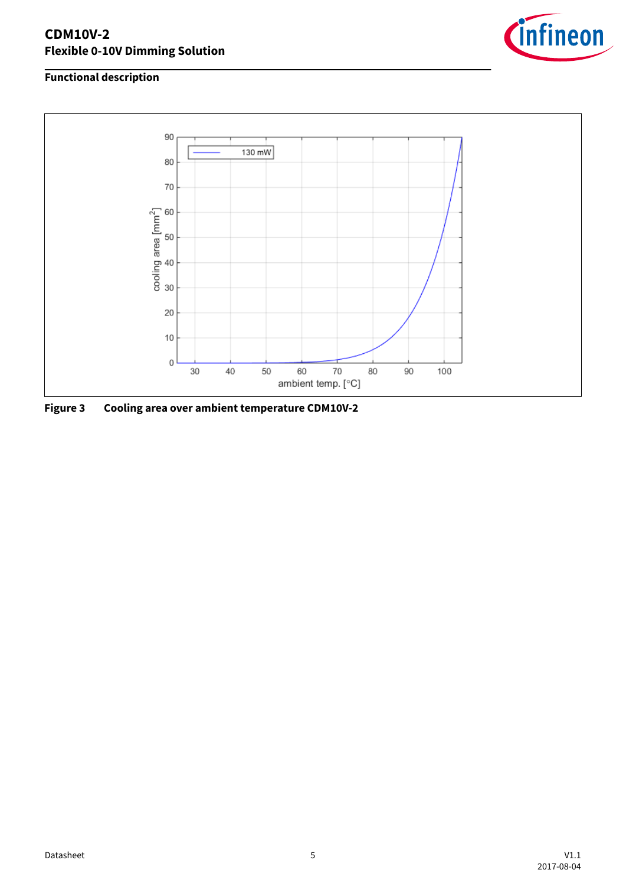## <span id="page-4-0"></span>**CDM10V-2 Flexible 0-10V Dimming Solution**



## **Functional description**



**Figure 3 Cooling area over ambient temperature CDM10V-2**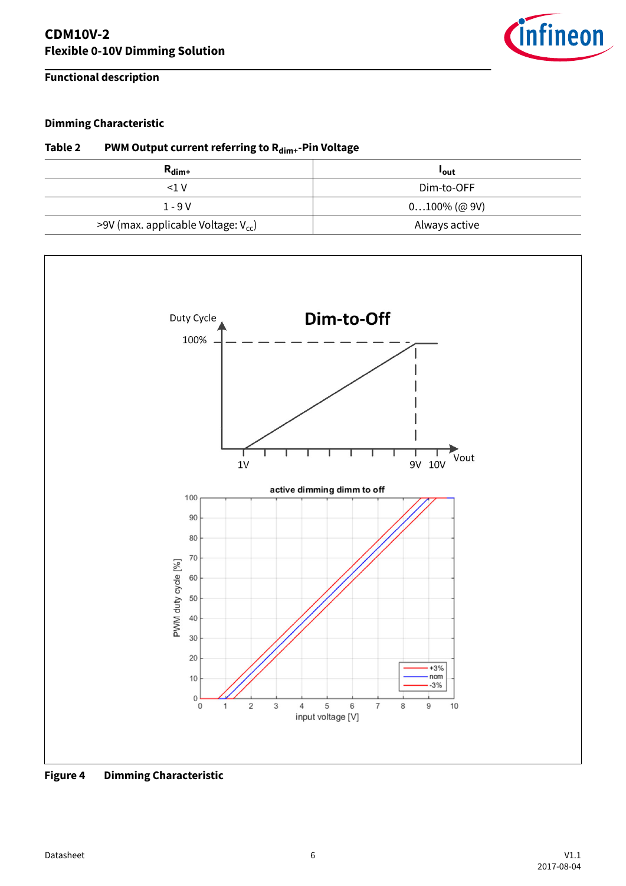**Functional description**



## **Dimming Characteristic**

## **Table 2 PWM Output current referring to Rdim+-Pin Voltage**

| $R_{\text{dim}+}$                        | <b>lout</b>     |
|------------------------------------------|-----------------|
| <1 V                                     | Dim-to-OFF      |
| $1 - 9V$                                 | $0100\%$ (@ 9V) |
| >9V (max. applicable Voltage: $V_{cc}$ ) | Always active   |



**Figure 4 Dimming Characteristic**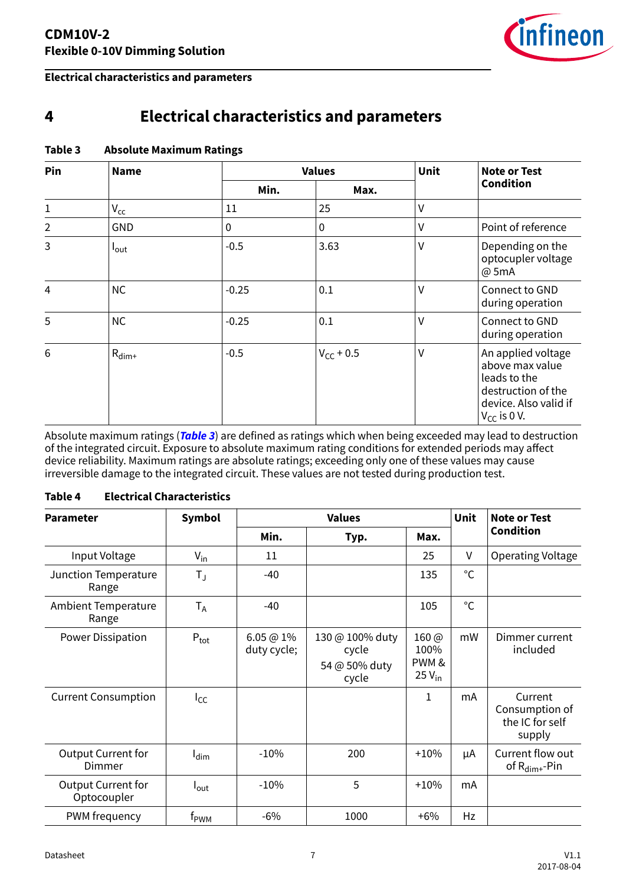

### <span id="page-6-0"></span>**Electrical characteristics and parameters**

# **4 Electrical characteristics and parameters**

| Pin<br><b>Name</b> |                   | <b>Values</b> | Unit           | <b>Note or Test</b><br><b>Condition</b> |                                                                                                                          |
|--------------------|-------------------|---------------|----------------|-----------------------------------------|--------------------------------------------------------------------------------------------------------------------------|
|                    | Min.              | Max.          |                |                                         |                                                                                                                          |
| 1                  | $V_{\rm CC}$      | 11            | 25             | $\vee$                                  |                                                                                                                          |
| $\overline{2}$     | <b>GND</b>        | 0             | 0              | V                                       | Point of reference                                                                                                       |
| 3                  | $I_{\text{out}}$  | $-0.5$        | 3.63           | $\vee$                                  | Depending on the<br>optocupler voltage<br>@ 5mA                                                                          |
| $\overline{4}$     | <b>NC</b>         | $-0.25$       | 0.1            | ٧                                       | Connect to GND<br>during operation                                                                                       |
| 5                  | <b>NC</b>         | $-0.25$       | 0.1            | V                                       | Connect to GND<br>during operation                                                                                       |
| 6                  | $R_{\text{dim}+}$ | $-0.5$        | $V_{CC}$ + 0.5 | V                                       | An applied voltage<br>above max value<br>leads to the<br>destruction of the<br>device. Also valid if<br>$V_{CC}$ is 0 V. |

## **Table 3 Absolute Maximum Ratings**

Absolute maximum ratings (**Table 3**) are defined as ratings which when being exceeded may lead to destruction of the integrated circuit. Exposure to absolute maximum rating conditions for extended periods may affect device reliability. Maximum ratings are absolute ratings; exceeding only one of these values may cause irreversible damage to the integrated circuit. These values are not tested during production test.

### **Table 4 Electrical Characteristics**

| <b>Parameter</b>                         | <b>Symbol</b>    |                        | <b>Values</b>                                      |                                                        |              | <b>Note or Test</b>                                    |
|------------------------------------------|------------------|------------------------|----------------------------------------------------|--------------------------------------------------------|--------------|--------------------------------------------------------|
|                                          |                  | Min.                   | Typ.                                               | Max.                                                   |              | <b>Condition</b>                                       |
| Input Voltage                            | $V_{in}$         | 11                     |                                                    | 25                                                     | V            | Operating Voltage                                      |
| Junction Temperature<br>Range            | $T_{J}$          | -40                    |                                                    | 135                                                    | $^{\circ}$ C |                                                        |
| <b>Ambient Temperature</b><br>Range      | $T_A$            | $-40$                  |                                                    | 105                                                    | $^{\circ}$ C |                                                        |
| Power Dissipation                        | $P_{\text{tot}}$ | 6.05@1%<br>duty cycle; | 130 @ 100% duty<br>cycle<br>54 @ 50% duty<br>cycle | $160 \, \textcircled{a}$<br>100%<br>PWM&<br>$25V_{in}$ | mW           | Dimmer current<br>included                             |
| <b>Current Consumption</b>               | $I_{CC}$         |                        |                                                    | 1                                                      | mA           | Current<br>Consumption of<br>the IC for self<br>supply |
| <b>Output Current for</b><br>Dimmer      | $I_{\text{dim}}$ | $-10%$                 | 200                                                | $+10%$                                                 | μA           | Current flow out<br>of $R_{\text{dim}+}$ -Pin          |
| <b>Output Current for</b><br>Optocoupler | $I_{\text{out}}$ | $-10%$                 | 5                                                  | $+10%$                                                 | mA           |                                                        |
| PWM frequency                            | f <sub>PWM</sub> | $-6%$                  | 1000                                               | $+6%$                                                  | Hz           |                                                        |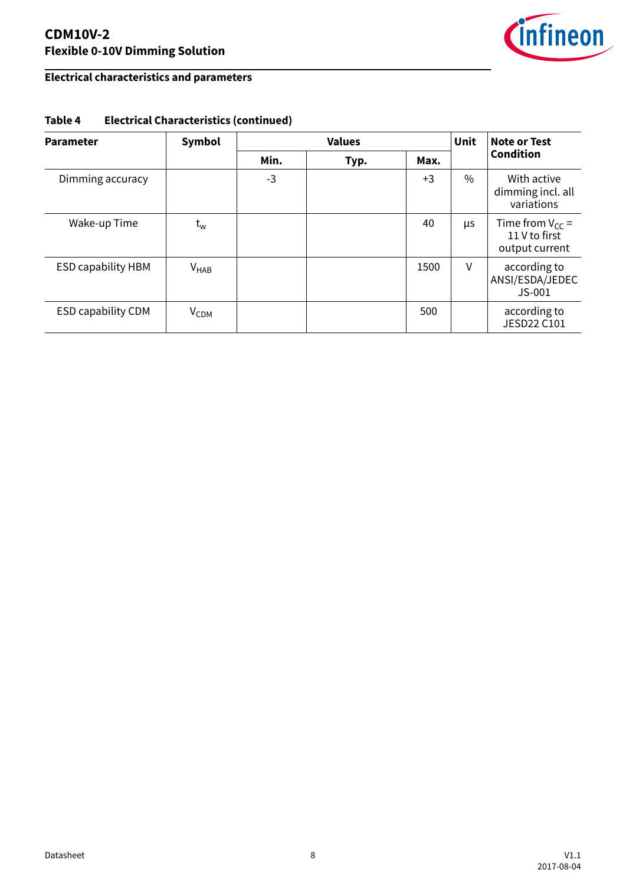## **CDM10V-2 Flexible 0-10V Dimming Solution**



## **Electrical characteristics and parameters**

| <b>Parameter</b>          | Symbol           | <b>Values</b> |      |      | Unit | Note or Test                                            |
|---------------------------|------------------|---------------|------|------|------|---------------------------------------------------------|
|                           |                  | Min.          | Typ. | Max. |      | <b>Condition</b>                                        |
| Dimming accuracy          |                  | $-3$          |      | $+3$ | $\%$ | With active<br>dimming incl. all<br>variations          |
| Wake-up Time              | $t_{w}$          |               |      | 40   | μs   | Time from $V_{CC}$ =<br>11 V to first<br>output current |
| <b>ESD capability HBM</b> | $V_{HAB}$        |               |      | 1500 | V    | according to<br>ANSI/ESDA/JEDEC<br>$JS-001$             |
| <b>ESD capability CDM</b> | V <sub>CDM</sub> |               |      | 500  |      | according to<br><b>JESD22 C101</b>                      |

## **Table 4 Electrical Characteristics (continued)**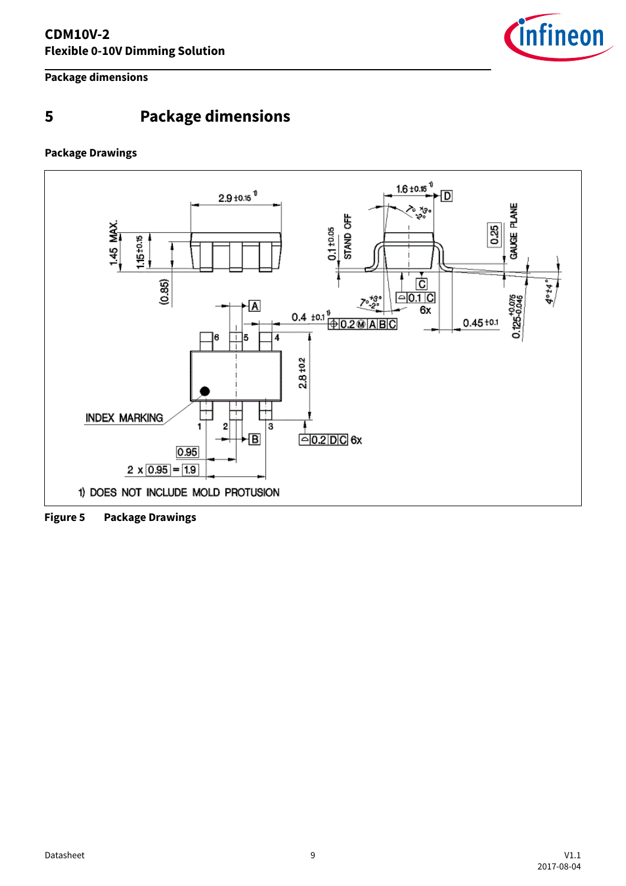

<span id="page-8-0"></span>**Package dimensions**

# **5 Package dimensions**

### **Package Drawings**



**Figure 5 Package Drawings**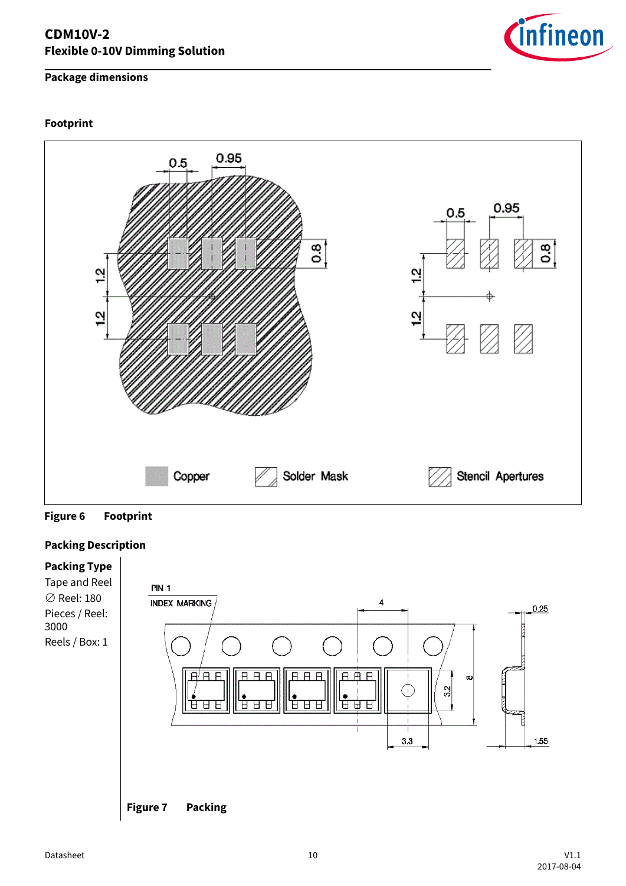## **Package dimensions**

### **Footprint**





### **Packing Description**



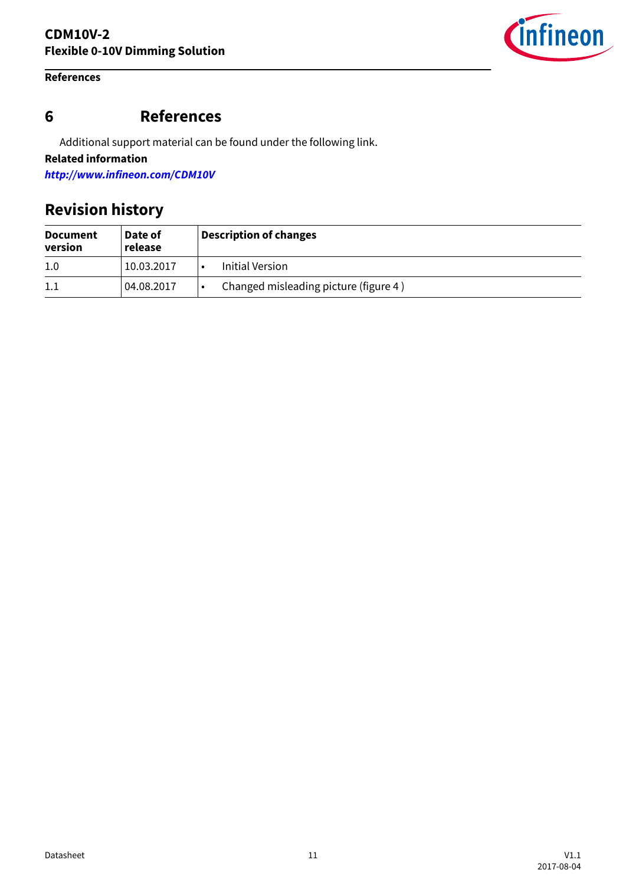### <span id="page-10-0"></span>**References**



Additional support material can be found under the following link.

**Related information**

**<http://www.infineon.com/CDM10V>**

# **Revision history**

| <b>Document</b><br>version | Date of<br>release | <b>Description of changes</b>         |  |
|----------------------------|--------------------|---------------------------------------|--|
| 1.0                        | 10.03.2017         | Initial Version                       |  |
| 1.1                        | 04.08.2017         | Changed misleading picture (figure 4) |  |